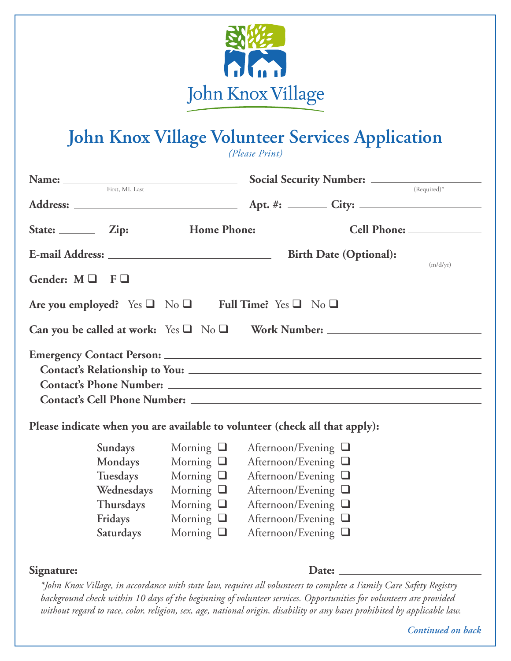

## **John Knox Village Volunteer Services Application**

*(Please Print)*

|                                                                                                                                                                                                                                | First, MI, Last                                                                   |                                                                                                                            |                                                                                                                                                                                        |  | (Required)*          |  |  |
|--------------------------------------------------------------------------------------------------------------------------------------------------------------------------------------------------------------------------------|-----------------------------------------------------------------------------------|----------------------------------------------------------------------------------------------------------------------------|----------------------------------------------------------------------------------------------------------------------------------------------------------------------------------------|--|----------------------|--|--|
|                                                                                                                                                                                                                                |                                                                                   |                                                                                                                            |                                                                                                                                                                                        |  |                      |  |  |
|                                                                                                                                                                                                                                |                                                                                   |                                                                                                                            |                                                                                                                                                                                        |  |                      |  |  |
|                                                                                                                                                                                                                                |                                                                                   |                                                                                                                            |                                                                                                                                                                                        |  |                      |  |  |
| Gender: $M \square$ $F \square$                                                                                                                                                                                                |                                                                                   |                                                                                                                            |                                                                                                                                                                                        |  | $\frac{1}{(m/d/yr)}$ |  |  |
| Are you employed? Yes $\Box$ No $\Box$ Full Time? Yes $\Box$ No $\Box$                                                                                                                                                         |                                                                                   |                                                                                                                            |                                                                                                                                                                                        |  |                      |  |  |
|                                                                                                                                                                                                                                |                                                                                   |                                                                                                                            |                                                                                                                                                                                        |  |                      |  |  |
| Contact's Cell Phone Number: Letter and the set of the set of the set of the set of the set of the set of the set of the set of the set of the set of the set of the set of the set of the set of the set of the set of the se |                                                                                   |                                                                                                                            |                                                                                                                                                                                        |  |                      |  |  |
| Please indicate when you are available to volunteer (check all that apply):                                                                                                                                                    |                                                                                   |                                                                                                                            |                                                                                                                                                                                        |  |                      |  |  |
|                                                                                                                                                                                                                                | Sundays<br>Mondays<br>Tuesdays<br>Wednesdays<br>Thursdays<br>Fridays<br>Saturdays | Morning $\Box$<br>Morning $\Box$<br>Morning $\Box$<br>Morning $\Box$<br>Morning $\Box$<br>Morning $\Box$<br>Morning $\Box$ | Afternoon/Evening $\Box$<br>Afternoon/Evening □<br>Afternoon/Evening $\Box$<br>Afternoon/Evening □<br>Afternoon/Evening $\Box$<br>Afternoon/Evening $\Box$<br>Afternoon/Evening $\Box$ |  |                      |  |  |
|                                                                                                                                                                                                                                |                                                                                   |                                                                                                                            |                                                                                                                                                                                        |  |                      |  |  |

*\*John Knox Village, in accordance with state law, requires all volunteers to complete a Family Care Safety Registry background check within 10 days of the beginning of volunteer services. Opportunities for volunteers are provided without regard to race, color, religion, sex, age, national origin, disability or any bases prohibited by applicable law.*

 *Continued on back*